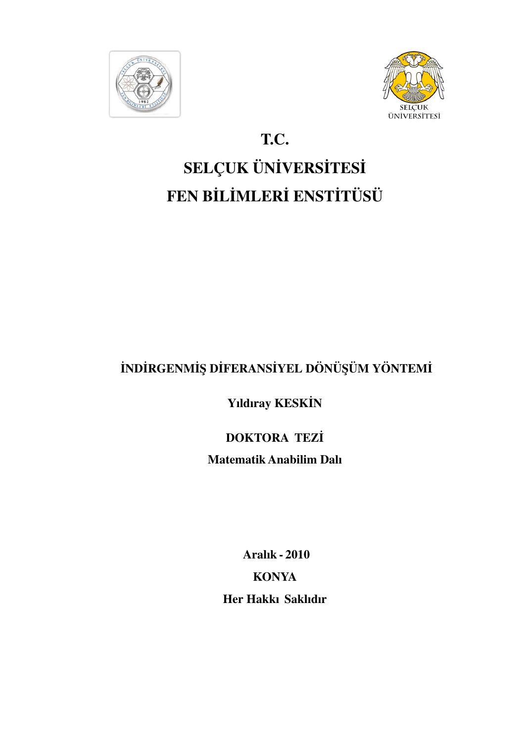



# T.C. SELÇUK ÜNİVERSİTESİ FEN BİLİMLERİ ENSTİTÜSÜ

# İNDİRGENMİŞ DİFERANSİYEL DÖNÜŞÜM YÖNTEMİ

Yıldıray KESKİN

DOKTORA TEZİ Matematik Anabilim Dalı

> Aralık - 2010 **KONYA** Her Hakkı Saklıdır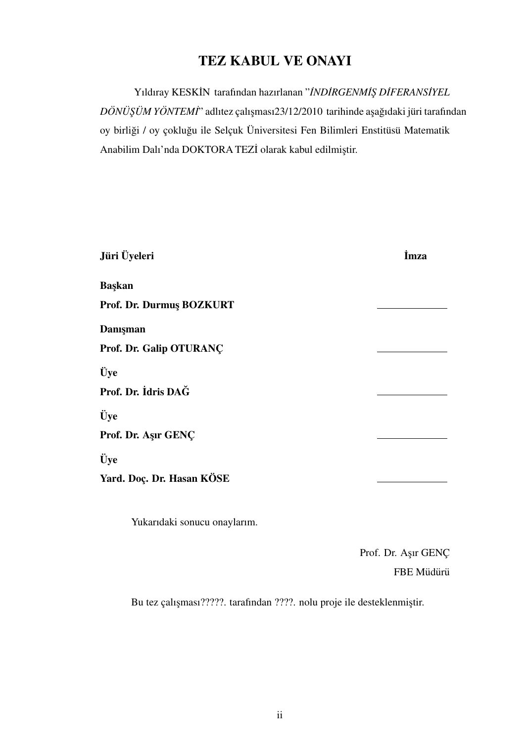# TEZ KABUL VE ONAYI

Yıldıray KESK˙IN tarafından hazırlanan "*˙IND˙IRGENM˙IS¸ D˙IFERANS˙IYEL DÖNÜŞÜM YÖNTEMİ*" adlıtez çalışması23/12/2010 tarihinde aşağıdaki jüri tarafından oy birliği / oy çokluğu ile Selçuk Üniversitesi Fen Bilimleri Enstitüsü Matematik Anabilim Dalı'nda DOKTORA TEZİ olarak kabul edilmiştir.

| Jüri Üyeleri                 | <i>imza</i> |
|------------------------------|-------------|
| <b>Başkan</b>                |             |
| Prof. Dr. Durmuş BOZKURT     |             |
| Danışman                     |             |
| Prof. Dr. Galip OTURANÇ      |             |
| Üye                          |             |
| Prof. Dr. İdris DAĞ          |             |
| Üye                          |             |
| Prof. Dr. Aşır GENÇ          |             |
| Üye                          |             |
| Yard. Doç. Dr. Hasan KÖSE    |             |
|                              |             |
| Yukarıdaki sonucu onaylarım. |             |

Prof. Dr. Aşır GENÇ FBE Müdürü

Bu tez çalışması?????. tarafından ????. nolu proje ile desteklenmiştir.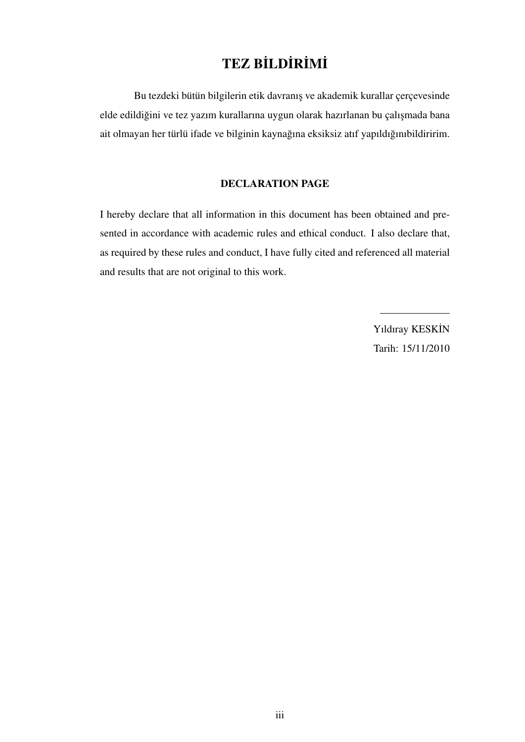# TEZ BİLDİRİMİ

Bu tezdeki bütün bilgilerin etik davranış ve akademik kurallar çerçevesinde elde edildiğini ve tez yazım kurallarına uygun olarak hazırlanan bu çalışmada bana ait olmayan her türlü ifade ve bilginin kaynağına eksiksiz atıf yapıldığınıbildiririm.

#### DECLARATION PAGE

I hereby declare that all information in this document has been obtained and presented in accordance with academic rules and ethical conduct. I also declare that, as required by these rules and conduct, I have fully cited and referenced all material and results that are not original to this work.

> Yıldıray KESKİN Tarih: 15/11/2010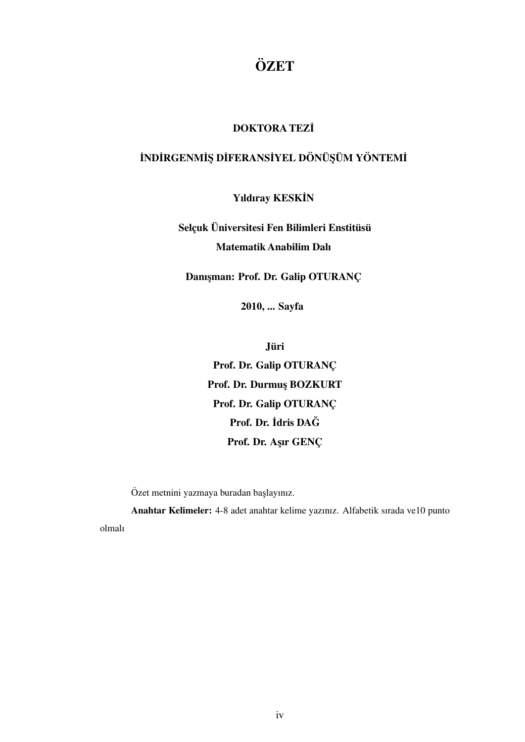# ÖZET

### DOKTORA TEZİ

## İNDİRGENMİŞ DİFERANSİYEL DÖNÜŞÜM YÖNTEMİ

Yıldıray KESKİN

Selçuk Üniversitesi Fen Bilimleri Enstitüsü Matematik Anabilim Dalı

Danışman: Prof. Dr. Galip OTURANÇ

2010, ... Sayfa

Jüri Prof. Dr. Galip OTURANC¸ Prof. Dr. Durmus¸ BOZKURT Prof. Dr. Galip OTURANC¸ Prof. Dr. İdris DAĞ Prof. Dr. Aşır GENÇ

Özet metnini yazmaya buradan başlayınız.

Anahtar Kelimeler: 4-8 adet anahtar kelime yazınız. Alfabetik sırada ve10 punto olmalı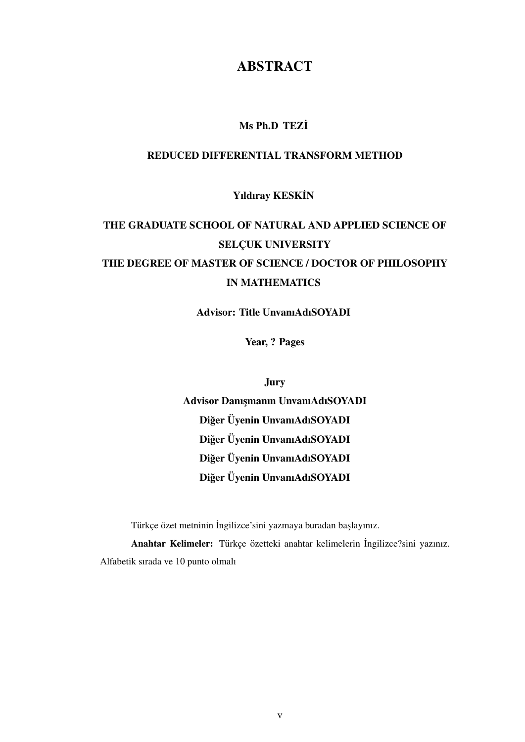## **ABSTRACT**

#### Ms Ph.D TEZİ

#### REDUCED DIFFERENTIAL TRANSFORM METHOD

Yıldıray KESKİN

# THE GRADUATE SCHOOL OF NATURAL AND APPLIED SCIENCE OF SELÇUK UNIVERSITY THE DEGREE OF MASTER OF SCIENCE / DOCTOR OF PHILOSOPHY IN MATHEMATICS

Advisor: Title UnvanıAdıSOYADI

Year, ? Pages

**Jury** 

Advisor Danısmanın UnvanıAdıSOYADI Diğer Üyenin UnvanıAdıSOYADI Diğer Üyenin UnvanıAdıSOYADI Diğer Üyenin UnvanıAdıSOYADI Diğer Üyenin UnvanıAdıSOYADI

Türkçe özet metninin İngilizce'sini yazmaya buradan başlayınız.

Anahtar Kelimeler: Türkçe özetteki anahtar kelimelerin İngilizce?sini yazınız. Alfabetik sırada ve 10 punto olmalı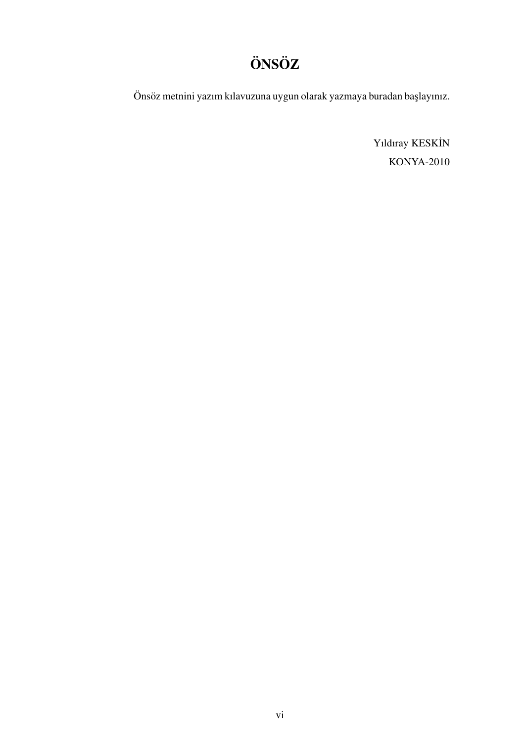# ÖNSÖZ

Önsöz metnini yazım kılavuzuna uygun olarak yazmaya buradan başlayınız.

Yıldıray KESKİN KONYA-2010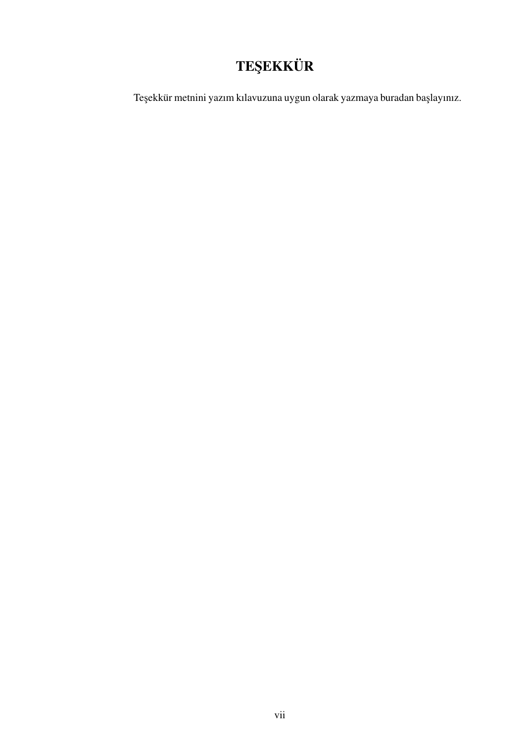# TEŞEKKÜR

Teşekkür metnini yazım kılavuzuna uygun olarak yazmaya buradan başlayınız.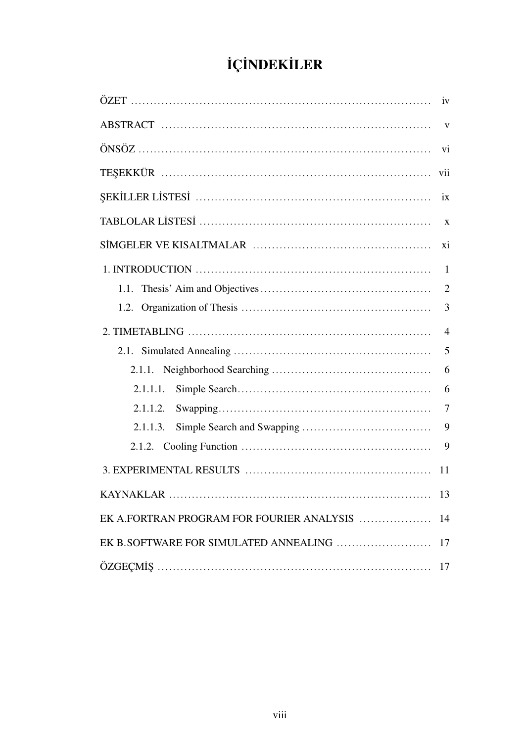# **İÇİNDEKİLER**

|                                           | iv             |
|-------------------------------------------|----------------|
|                                           | $\mathbf{V}$   |
|                                           | vi             |
|                                           | vii            |
|                                           | ix             |
|                                           | $\mathbf{X}$   |
|                                           | xi             |
|                                           | 1              |
|                                           | $\overline{2}$ |
|                                           | 3              |
|                                           | $\overline{4}$ |
|                                           | 5              |
|                                           | 6              |
| 2.1.1.1.                                  | 6              |
| 2.1.1.2.                                  | 7              |
| 2.1.1.3.                                  | 9              |
|                                           | 9              |
|                                           | 11             |
|                                           | 13             |
| EK A.FORTRAN PROGRAM FOR FOURIER ANALYSIS | 14             |
|                                           | 17             |
|                                           | 17             |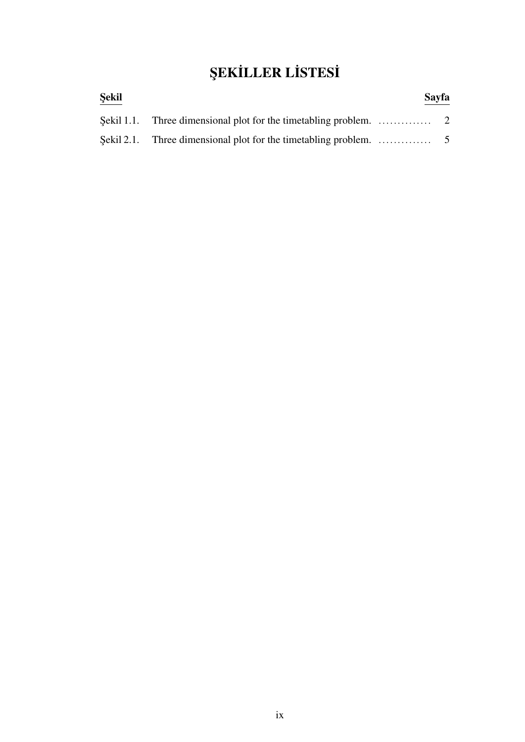# ŞEKİLLER LİSTESİ

| Şekil |  | <b>Sayfa</b> |
|-------|--|--------------|
|       |  |              |
|       |  |              |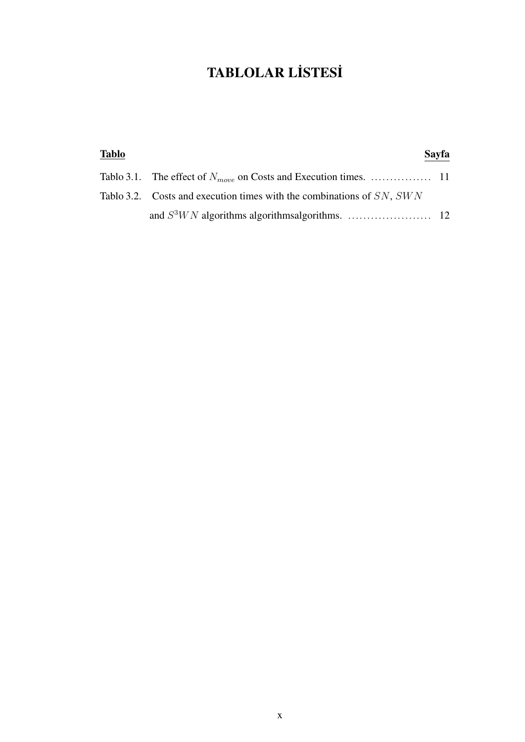# TABLOLAR LİSTESİ

| <b>Tablo</b> |                                                                       | <b>Sayfa</b> |
|--------------|-----------------------------------------------------------------------|--------------|
|              |                                                                       |              |
|              | Tablo 3.2. Costs and execution times with the combinations of SN, SWN |              |
|              |                                                                       |              |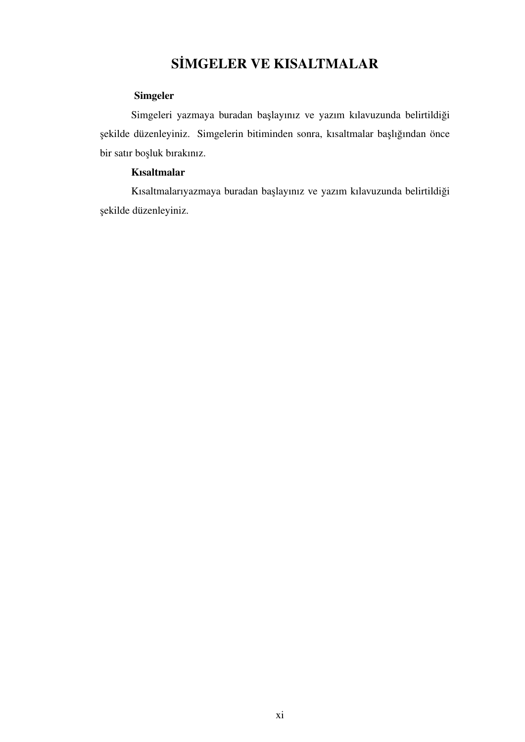# SİMGELER VE KISALTMALAR

#### Simgeler

Simgeleri yazmaya buradan başlayınız ve yazım kılavuzunda belirtildiği şekilde düzenleyiniz. Simgelerin bitiminden sonra, kısaltmalar başlığından önce bir satır boşluk bırakınız.

#### Kısaltmalar

Kısaltmalarıyazmaya buradan başlayınız ve yazım kılavuzunda belirtildiği şekilde düzenleyiniz.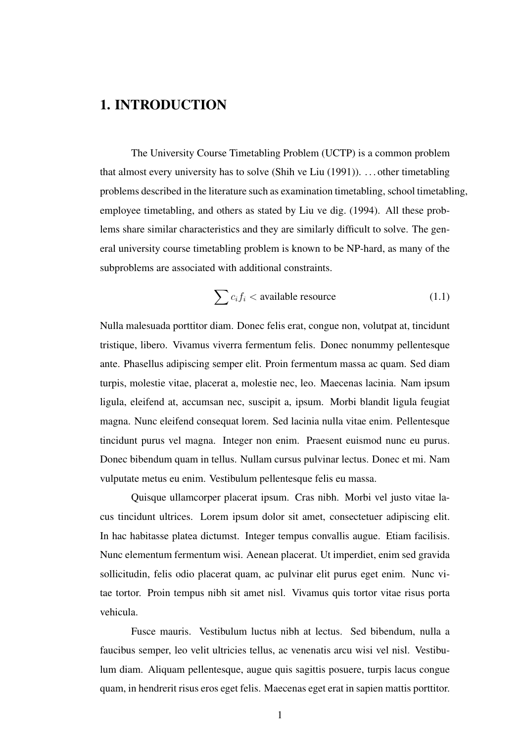## 1. INTRODUCTION

The University Course Timetabling Problem (UCTP) is a common problem that almost every university has to solve (Shih ve Liu (1991)). . . . other timetabling problems described in the literature such as examination timetabling, school timetabling, employee timetabling, and others as stated by Liu ve dig. (1994). All these problems share similar characteristics and they are similarly difficult to solve. The general university course timetabling problem is known to be NP-hard, as many of the subproblems are associated with additional constraints.

$$
\sum c_i f_i < \text{available resource} \tag{1.1}
$$

Nulla malesuada porttitor diam. Donec felis erat, congue non, volutpat at, tincidunt tristique, libero. Vivamus viverra fermentum felis. Donec nonummy pellentesque ante. Phasellus adipiscing semper elit. Proin fermentum massa ac quam. Sed diam turpis, molestie vitae, placerat a, molestie nec, leo. Maecenas lacinia. Nam ipsum ligula, eleifend at, accumsan nec, suscipit a, ipsum. Morbi blandit ligula feugiat magna. Nunc eleifend consequat lorem. Sed lacinia nulla vitae enim. Pellentesque tincidunt purus vel magna. Integer non enim. Praesent euismod nunc eu purus. Donec bibendum quam in tellus. Nullam cursus pulvinar lectus. Donec et mi. Nam vulputate metus eu enim. Vestibulum pellentesque felis eu massa.

Quisque ullamcorper placerat ipsum. Cras nibh. Morbi vel justo vitae lacus tincidunt ultrices. Lorem ipsum dolor sit amet, consectetuer adipiscing elit. In hac habitasse platea dictumst. Integer tempus convallis augue. Etiam facilisis. Nunc elementum fermentum wisi. Aenean placerat. Ut imperdiet, enim sed gravida sollicitudin, felis odio placerat quam, ac pulvinar elit purus eget enim. Nunc vitae tortor. Proin tempus nibh sit amet nisl. Vivamus quis tortor vitae risus porta vehicula.

Fusce mauris. Vestibulum luctus nibh at lectus. Sed bibendum, nulla a faucibus semper, leo velit ultricies tellus, ac venenatis arcu wisi vel nisl. Vestibulum diam. Aliquam pellentesque, augue quis sagittis posuere, turpis lacus congue quam, in hendrerit risus eros eget felis. Maecenas eget erat in sapien mattis porttitor.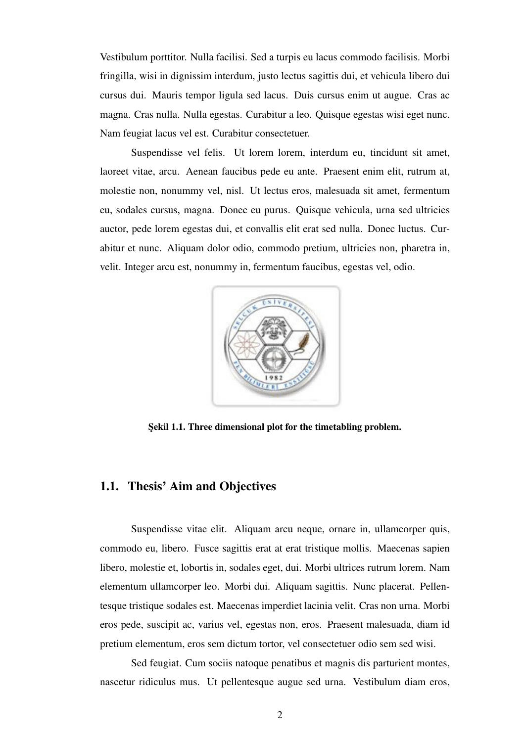Vestibulum porttitor. Nulla facilisi. Sed a turpis eu lacus commodo facilisis. Morbi fringilla, wisi in dignissim interdum, justo lectus sagittis dui, et vehicula libero dui cursus dui. Mauris tempor ligula sed lacus. Duis cursus enim ut augue. Cras ac magna. Cras nulla. Nulla egestas. Curabitur a leo. Quisque egestas wisi eget nunc. Nam feugiat lacus vel est. Curabitur consectetuer.

Suspendisse vel felis. Ut lorem lorem, interdum eu, tincidunt sit amet, laoreet vitae, arcu. Aenean faucibus pede eu ante. Praesent enim elit, rutrum at, molestie non, nonummy vel, nisl. Ut lectus eros, malesuada sit amet, fermentum eu, sodales cursus, magna. Donec eu purus. Quisque vehicula, urna sed ultricies auctor, pede lorem egestas dui, et convallis elit erat sed nulla. Donec luctus. Curabitur et nunc. Aliquam dolor odio, commodo pretium, ultricies non, pharetra in, velit. Integer arcu est, nonummy in, fermentum faucibus, egestas vel, odio.



Sekil 1.1. Three dimensional plot for the timetabling problem.

#### 1.1. Thesis' Aim and Objectives

Suspendisse vitae elit. Aliquam arcu neque, ornare in, ullamcorper quis, commodo eu, libero. Fusce sagittis erat at erat tristique mollis. Maecenas sapien libero, molestie et, lobortis in, sodales eget, dui. Morbi ultrices rutrum lorem. Nam elementum ullamcorper leo. Morbi dui. Aliquam sagittis. Nunc placerat. Pellentesque tristique sodales est. Maecenas imperdiet lacinia velit. Cras non urna. Morbi eros pede, suscipit ac, varius vel, egestas non, eros. Praesent malesuada, diam id pretium elementum, eros sem dictum tortor, vel consectetuer odio sem sed wisi.

Sed feugiat. Cum sociis natoque penatibus et magnis dis parturient montes, nascetur ridiculus mus. Ut pellentesque augue sed urna. Vestibulum diam eros,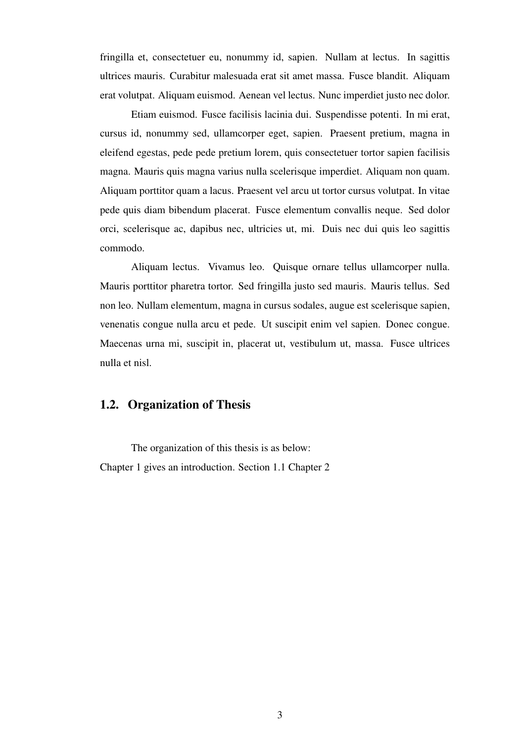fringilla et, consectetuer eu, nonummy id, sapien. Nullam at lectus. In sagittis ultrices mauris. Curabitur malesuada erat sit amet massa. Fusce blandit. Aliquam erat volutpat. Aliquam euismod. Aenean vel lectus. Nunc imperdiet justo nec dolor.

Etiam euismod. Fusce facilisis lacinia dui. Suspendisse potenti. In mi erat, cursus id, nonummy sed, ullamcorper eget, sapien. Praesent pretium, magna in eleifend egestas, pede pede pretium lorem, quis consectetuer tortor sapien facilisis magna. Mauris quis magna varius nulla scelerisque imperdiet. Aliquam non quam. Aliquam porttitor quam a lacus. Praesent vel arcu ut tortor cursus volutpat. In vitae pede quis diam bibendum placerat. Fusce elementum convallis neque. Sed dolor orci, scelerisque ac, dapibus nec, ultricies ut, mi. Duis nec dui quis leo sagittis commodo.

Aliquam lectus. Vivamus leo. Quisque ornare tellus ullamcorper nulla. Mauris porttitor pharetra tortor. Sed fringilla justo sed mauris. Mauris tellus. Sed non leo. Nullam elementum, magna in cursus sodales, augue est scelerisque sapien, venenatis congue nulla arcu et pede. Ut suscipit enim vel sapien. Donec congue. Maecenas urna mi, suscipit in, placerat ut, vestibulum ut, massa. Fusce ultrices nulla et nisl.

#### 1.2. Organization of Thesis

The organization of this thesis is as below: Chapter 1 gives an introduction. Section 1.1 Chapter 2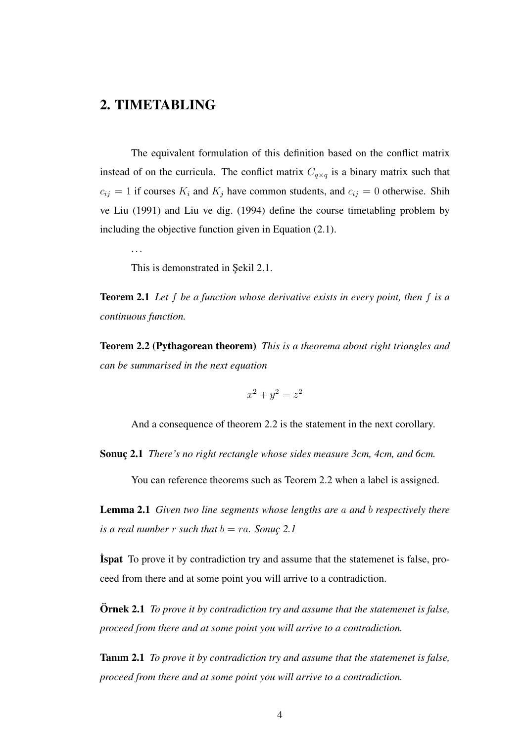## 2. TIMETABLING

. . .

The equivalent formulation of this definition based on the conflict matrix instead of on the curricula. The conflict matrix  $C_{q \times q}$  is a binary matrix such that  $c_{ij} = 1$  if courses  $K_i$  and  $K_j$  have common students, and  $c_{ij} = 0$  otherwise. Shih ve Liu (1991) and Liu ve dig. (1994) define the course timetabling problem by including the objective function given in Equation (2.1).

This is demonstrated in Sekil 2.1.

Teorem 2.1 *Let* f *be a function whose derivative exists in every point, then* f *is a continuous function.*

Teorem 2.2 (Pythagorean theorem) *This is a theorema about right triangles and can be summarised in the next equation*

$$
x^2 + y^2 = z^2
$$

And a consequence of theorem 2.2 is the statement in the next corollary.

**Sonuc 2.1** *There's no right rectangle whose sides measure 3cm, 4cm, and 6cm.* 

You can reference theorems such as Teorem 2.2 when a label is assigned.

Lemma 2.1 *Given two line segments whose lengths are* a *and* b *respectively there is a real number* r *such that*  $b = ra$ *. Sonuç* 2.1

**Ispat** To prove it by contradiction try and assume that the statemenet is false, proceed from there and at some point you will arrive to a contradiction.

**Örnek 2.1** To prove it by contradiction try and assume that the statemenet is false, *proceed from there and at some point you will arrive to a contradiction.*

Tanım 2.1 *To prove it by contradiction try and assume that the statemenet is false, proceed from there and at some point you will arrive to a contradiction.*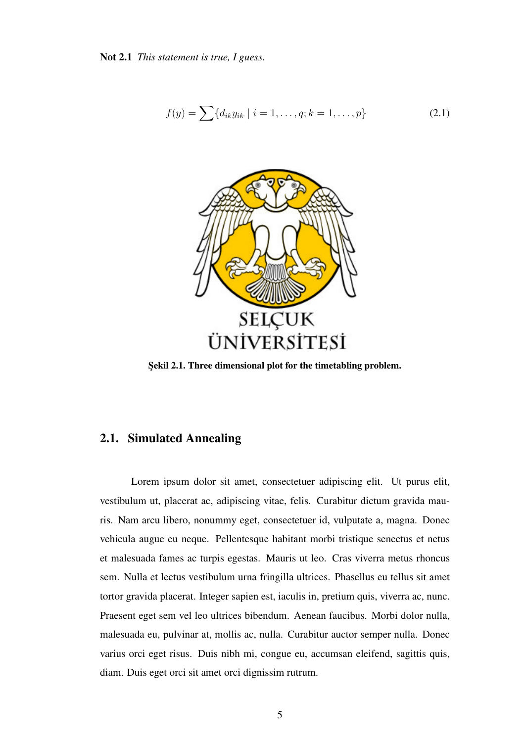$$
f(y) = \sum \{d_{ik}y_{ik} \mid i = 1, \dots, q; k = 1, \dots, p\}
$$
 (2.1)



Sekil 2.1. Three dimensional plot for the timetabling problem.

#### 2.1. Simulated Annealing

Lorem ipsum dolor sit amet, consectetuer adipiscing elit. Ut purus elit, vestibulum ut, placerat ac, adipiscing vitae, felis. Curabitur dictum gravida mauris. Nam arcu libero, nonummy eget, consectetuer id, vulputate a, magna. Donec vehicula augue eu neque. Pellentesque habitant morbi tristique senectus et netus et malesuada fames ac turpis egestas. Mauris ut leo. Cras viverra metus rhoncus sem. Nulla et lectus vestibulum urna fringilla ultrices. Phasellus eu tellus sit amet tortor gravida placerat. Integer sapien est, iaculis in, pretium quis, viverra ac, nunc. Praesent eget sem vel leo ultrices bibendum. Aenean faucibus. Morbi dolor nulla, malesuada eu, pulvinar at, mollis ac, nulla. Curabitur auctor semper nulla. Donec varius orci eget risus. Duis nibh mi, congue eu, accumsan eleifend, sagittis quis, diam. Duis eget orci sit amet orci dignissim rutrum.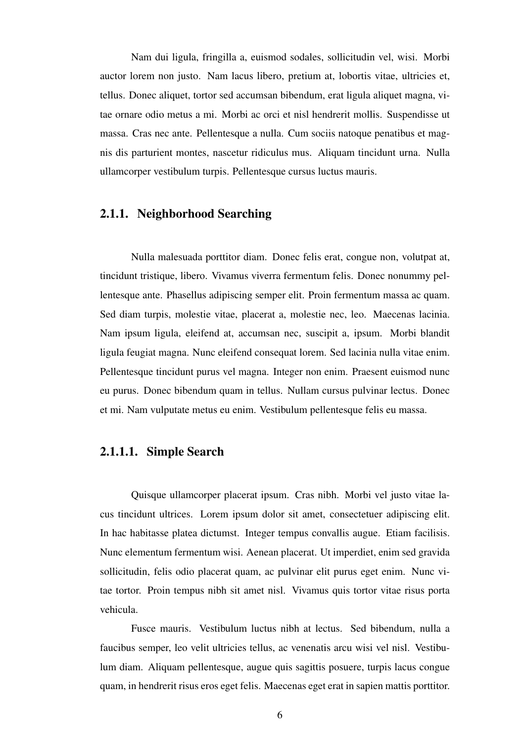Nam dui ligula, fringilla a, euismod sodales, sollicitudin vel, wisi. Morbi auctor lorem non justo. Nam lacus libero, pretium at, lobortis vitae, ultricies et, tellus. Donec aliquet, tortor sed accumsan bibendum, erat ligula aliquet magna, vitae ornare odio metus a mi. Morbi ac orci et nisl hendrerit mollis. Suspendisse ut massa. Cras nec ante. Pellentesque a nulla. Cum sociis natoque penatibus et magnis dis parturient montes, nascetur ridiculus mus. Aliquam tincidunt urna. Nulla ullamcorper vestibulum turpis. Pellentesque cursus luctus mauris.

#### 2.1.1. Neighborhood Searching

Nulla malesuada porttitor diam. Donec felis erat, congue non, volutpat at, tincidunt tristique, libero. Vivamus viverra fermentum felis. Donec nonummy pellentesque ante. Phasellus adipiscing semper elit. Proin fermentum massa ac quam. Sed diam turpis, molestie vitae, placerat a, molestie nec, leo. Maecenas lacinia. Nam ipsum ligula, eleifend at, accumsan nec, suscipit a, ipsum. Morbi blandit ligula feugiat magna. Nunc eleifend consequat lorem. Sed lacinia nulla vitae enim. Pellentesque tincidunt purus vel magna. Integer non enim. Praesent euismod nunc eu purus. Donec bibendum quam in tellus. Nullam cursus pulvinar lectus. Donec et mi. Nam vulputate metus eu enim. Vestibulum pellentesque felis eu massa.

#### 2.1.1.1. Simple Search

Quisque ullamcorper placerat ipsum. Cras nibh. Morbi vel justo vitae lacus tincidunt ultrices. Lorem ipsum dolor sit amet, consectetuer adipiscing elit. In hac habitasse platea dictumst. Integer tempus convallis augue. Etiam facilisis. Nunc elementum fermentum wisi. Aenean placerat. Ut imperdiet, enim sed gravida sollicitudin, felis odio placerat quam, ac pulvinar elit purus eget enim. Nunc vitae tortor. Proin tempus nibh sit amet nisl. Vivamus quis tortor vitae risus porta vehicula.

Fusce mauris. Vestibulum luctus nibh at lectus. Sed bibendum, nulla a faucibus semper, leo velit ultricies tellus, ac venenatis arcu wisi vel nisl. Vestibulum diam. Aliquam pellentesque, augue quis sagittis posuere, turpis lacus congue quam, in hendrerit risus eros eget felis. Maecenas eget erat in sapien mattis porttitor.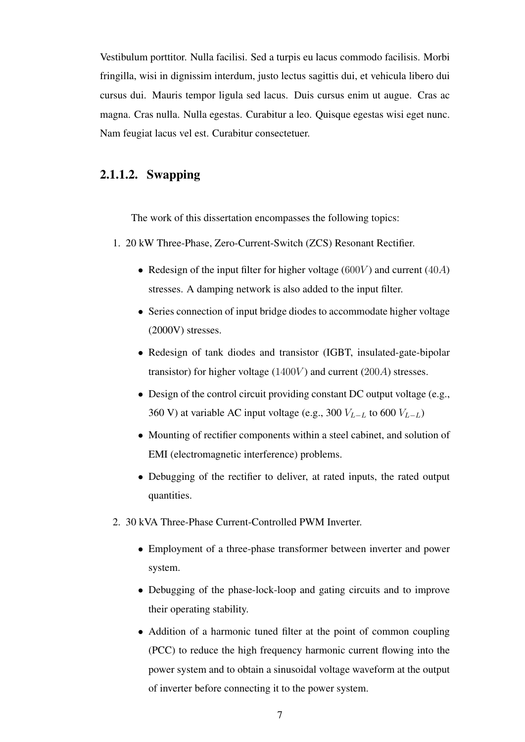Vestibulum porttitor. Nulla facilisi. Sed a turpis eu lacus commodo facilisis. Morbi fringilla, wisi in dignissim interdum, justo lectus sagittis dui, et vehicula libero dui cursus dui. Mauris tempor ligula sed lacus. Duis cursus enim ut augue. Cras ac magna. Cras nulla. Nulla egestas. Curabitur a leo. Quisque egestas wisi eget nunc. Nam feugiat lacus vel est. Curabitur consectetuer.

#### 2.1.1.2. Swapping

The work of this dissertation encompasses the following topics:

- 1. 20 kW Three-Phase, Zero-Current-Switch (ZCS) Resonant Rectifier.
	- Redesign of the input filter for higher voltage  $(600V)$  and current  $(40A)$ stresses. A damping network is also added to the input filter.
	- Series connection of input bridge diodes to accommodate higher voltage (2000V) stresses.
	- Redesign of tank diodes and transistor (IGBT, insulated-gate-bipolar transistor) for higher voltage  $(1400V)$  and current  $(200A)$  stresses.
	- Design of the control circuit providing constant DC output voltage (e.g., 360 V) at variable AC input voltage (e.g., 300  $V_{L-L}$  to 600  $V_{L-L}$ )
	- Mounting of rectifier components within a steel cabinet, and solution of EMI (electromagnetic interference) problems.
	- Debugging of the rectifier to deliver, at rated inputs, the rated output quantities.
- 2. 30 kVA Three-Phase Current-Controlled PWM Inverter.
	- Employment of a three-phase transformer between inverter and power system.
	- Debugging of the phase-lock-loop and gating circuits and to improve their operating stability.
	- Addition of a harmonic tuned filter at the point of common coupling (PCC) to reduce the high frequency harmonic current flowing into the power system and to obtain a sinusoidal voltage waveform at the output of inverter before connecting it to the power system.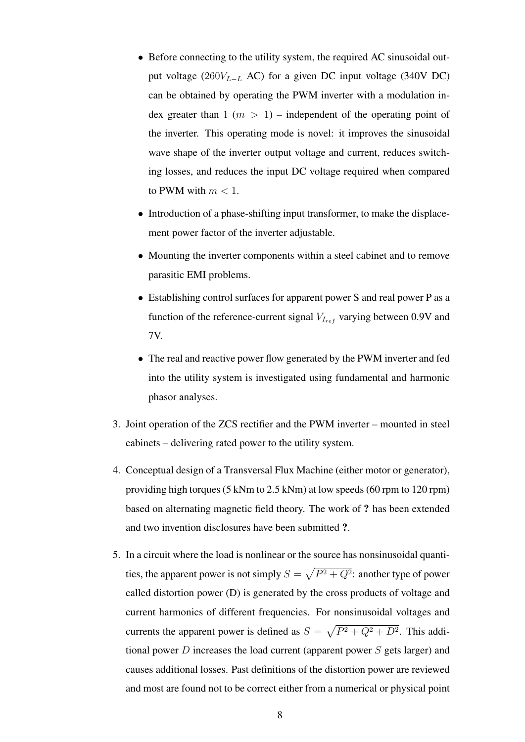- Before connecting to the utility system, the required AC sinusoidal output voltage (260 $V_{L-L}$  AC) for a given DC input voltage (340V DC) can be obtained by operating the PWM inverter with a modulation index greater than  $1 \ (m > 1)$  – independent of the operating point of the inverter. This operating mode is novel: it improves the sinusoidal wave shape of the inverter output voltage and current, reduces switching losses, and reduces the input DC voltage required when compared to PWM with  $m < 1$ .
- Introduction of a phase-shifting input transformer, to make the displacement power factor of the inverter adjustable.
- Mounting the inverter components within a steel cabinet and to remove parasitic EMI problems.
- Establishing control surfaces for apparent power S and real power P as a function of the reference-current signal  $V_{I_{ref}}$  varying between 0.9V and 7V.
- The real and reactive power flow generated by the PWM inverter and fed into the utility system is investigated using fundamental and harmonic phasor analyses.
- 3. Joint operation of the ZCS rectifier and the PWM inverter mounted in steel cabinets – delivering rated power to the utility system.
- 4. Conceptual design of a Transversal Flux Machine (either motor or generator), providing high torques (5 kNm to 2.5 kNm) at low speeds (60 rpm to 120 rpm) based on alternating magnetic field theory. The work of ? has been extended and two invention disclosures have been submitted ?.
- 5. In a circuit where the load is nonlinear or the source has nonsinusoidal quantities, the apparent power is not simply  $S = \sqrt{P^2 + Q^2}$ : another type of power called distortion power (D) is generated by the cross products of voltage and current harmonics of different frequencies. For nonsinusoidal voltages and currents the apparent power is defined as  $S = \sqrt{P^2 + Q^2 + D^2}$ . This additional power  $D$  increases the load current (apparent power  $S$  gets larger) and causes additional losses. Past definitions of the distortion power are reviewed and most are found not to be correct either from a numerical or physical point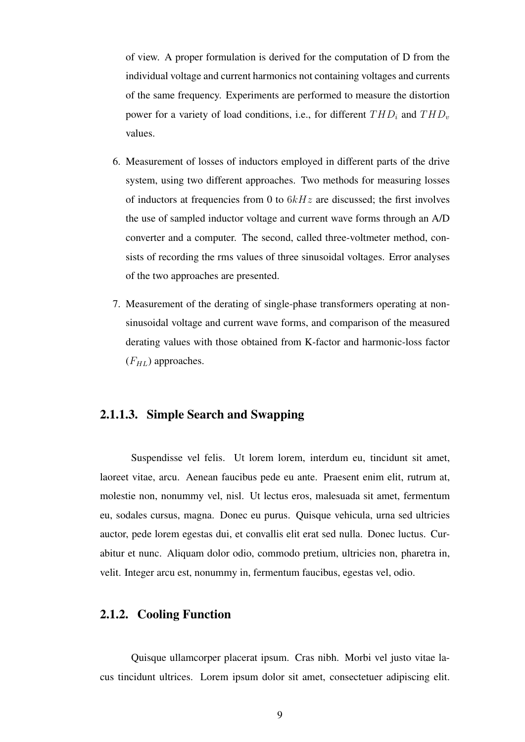of view. A proper formulation is derived for the computation of D from the individual voltage and current harmonics not containing voltages and currents of the same frequency. Experiments are performed to measure the distortion power for a variety of load conditions, i.e., for different  $THD_i$  and  $THD_v$ values.

- 6. Measurement of losses of inductors employed in different parts of the drive system, using two different approaches. Two methods for measuring losses of inductors at frequencies from 0 to  $6kHz$  are discussed; the first involves the use of sampled inductor voltage and current wave forms through an A/D converter and a computer. The second, called three-voltmeter method, consists of recording the rms values of three sinusoidal voltages. Error analyses of the two approaches are presented.
- 7. Measurement of the derating of single-phase transformers operating at nonsinusoidal voltage and current wave forms, and comparison of the measured derating values with those obtained from K-factor and harmonic-loss factor  $(F_{HL})$  approaches.

#### 2.1.1.3. Simple Search and Swapping

Suspendisse vel felis. Ut lorem lorem, interdum eu, tincidunt sit amet, laoreet vitae, arcu. Aenean faucibus pede eu ante. Praesent enim elit, rutrum at, molestie non, nonummy vel, nisl. Ut lectus eros, malesuada sit amet, fermentum eu, sodales cursus, magna. Donec eu purus. Quisque vehicula, urna sed ultricies auctor, pede lorem egestas dui, et convallis elit erat sed nulla. Donec luctus. Curabitur et nunc. Aliquam dolor odio, commodo pretium, ultricies non, pharetra in, velit. Integer arcu est, nonummy in, fermentum faucibus, egestas vel, odio.

#### 2.1.2. Cooling Function

Quisque ullamcorper placerat ipsum. Cras nibh. Morbi vel justo vitae lacus tincidunt ultrices. Lorem ipsum dolor sit amet, consectetuer adipiscing elit.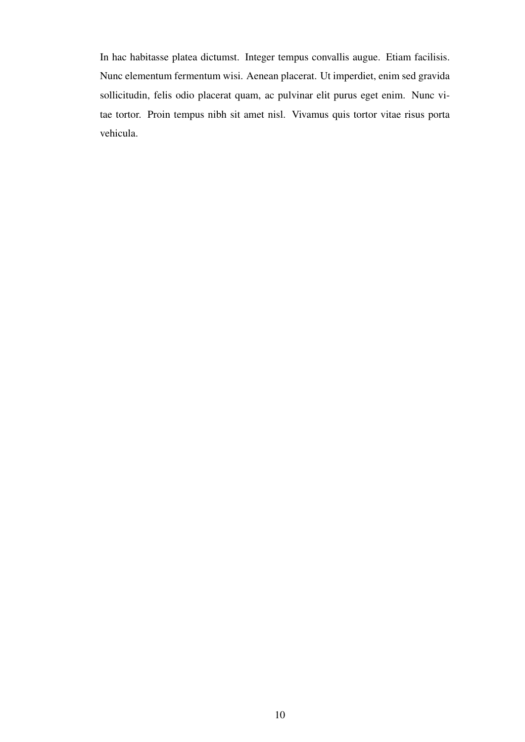In hac habitasse platea dictumst. Integer tempus convallis augue. Etiam facilisis. Nunc elementum fermentum wisi. Aenean placerat. Ut imperdiet, enim sed gravida sollicitudin, felis odio placerat quam, ac pulvinar elit purus eget enim. Nunc vitae tortor. Proin tempus nibh sit amet nisl. Vivamus quis tortor vitae risus porta vehicula.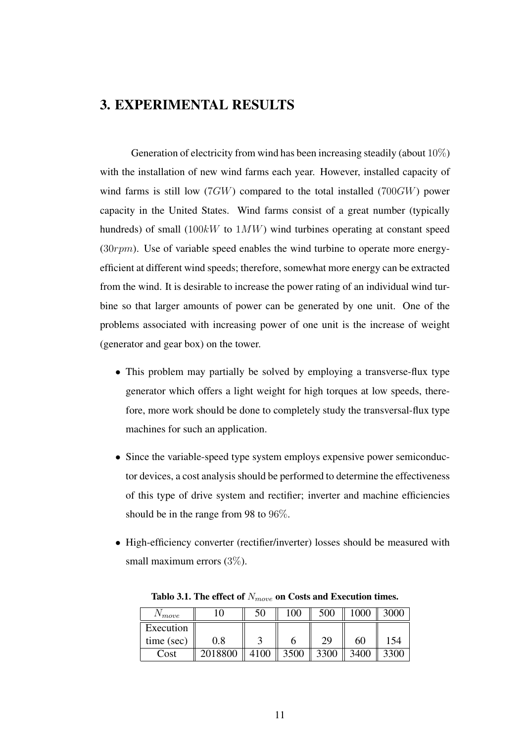## 3. EXPERIMENTAL RESULTS

Generation of electricity from wind has been increasing steadily (about 10%) with the installation of new wind farms each year. However, installed capacity of wind farms is still low  $(TGW)$  compared to the total installed  $(T00GW)$  power capacity in the United States. Wind farms consist of a great number (typically hundreds) of small  $(100kW)$  to  $1MW$ ) wind turbines operating at constant speed  $(30rpm)$ . Use of variable speed enables the wind turbine to operate more energyefficient at different wind speeds; therefore, somewhat more energy can be extracted from the wind. It is desirable to increase the power rating of an individual wind turbine so that larger amounts of power can be generated by one unit. One of the problems associated with increasing power of one unit is the increase of weight (generator and gear box) on the tower.

- This problem may partially be solved by employing a transverse-flux type generator which offers a light weight for high torques at low speeds, therefore, more work should be done to completely study the transversal-flux type machines for such an application.
- Since the variable-speed type system employs expensive power semiconductor devices, a cost analysis should be performed to determine the effectiveness of this type of drive system and rectifier; inverter and machine efficiencies should be in the range from 98 to 96%.
- High-efficiency converter (rectifier/inverter) losses should be measured with small maximum errors (3%).

| move       |         | 50 | 100  | 500 |    | 000 <sub>o</sub> |
|------------|---------|----|------|-----|----|------------------|
| Execution  |         |    |      |     |    |                  |
| time (sec) | $0.8\,$ |    |      | 29  | 60 |                  |
| Cost       |         |    | 3500 |     |    | 3300             |

Tablo 3.1. The effect of  $N_{move}$  on Costs and Execution times.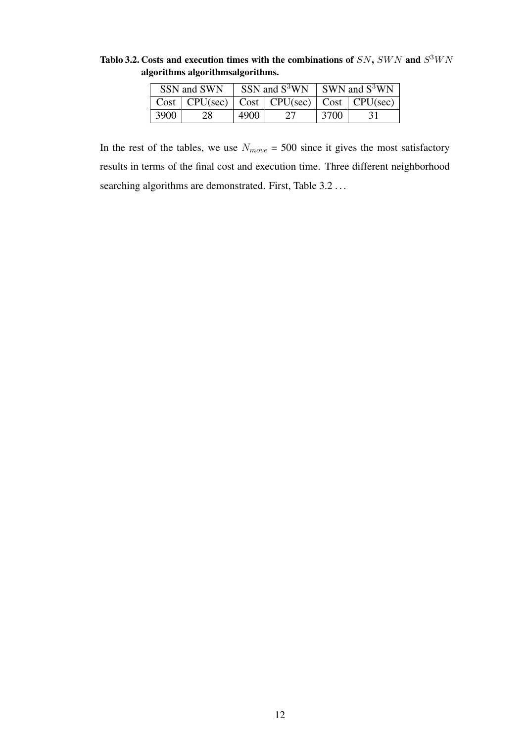| SSN and SWN |                                                       |      | $SSN$ and $S3WN$ | SWN and $S^3$ WN |  |
|-------------|-------------------------------------------------------|------|------------------|------------------|--|
|             | $Cost   CPU(sec)   Cost   CPU(sec)   Cost   CPU(sec)$ |      |                  |                  |  |
| 3900        | 28                                                    | 4900 | 27               | 3700             |  |

Tablo 3.2. Costs and execution times with the combinations of  $SN$ ,  $SWN$  and  $S^3WN$ algorithms algorithmsalgorithms.

In the rest of the tables, we use  $N_{move} = 500$  since it gives the most satisfactory results in terms of the final cost and execution time. Three different neighborhood searching algorithms are demonstrated. First, Table 3.2 ...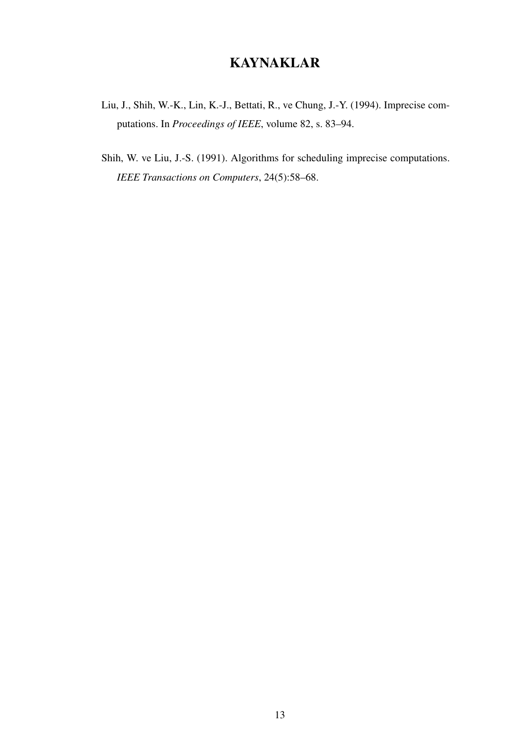# KAYNAKLAR

- Liu, J., Shih, W.-K., Lin, K.-J., Bettati, R., ve Chung, J.-Y. (1994). Imprecise computations. In *Proceedings of IEEE*, volume 82, s. 83–94.
- Shih, W. ve Liu, J.-S. (1991). Algorithms for scheduling imprecise computations. *IEEE Transactions on Computers*, 24(5):58–68.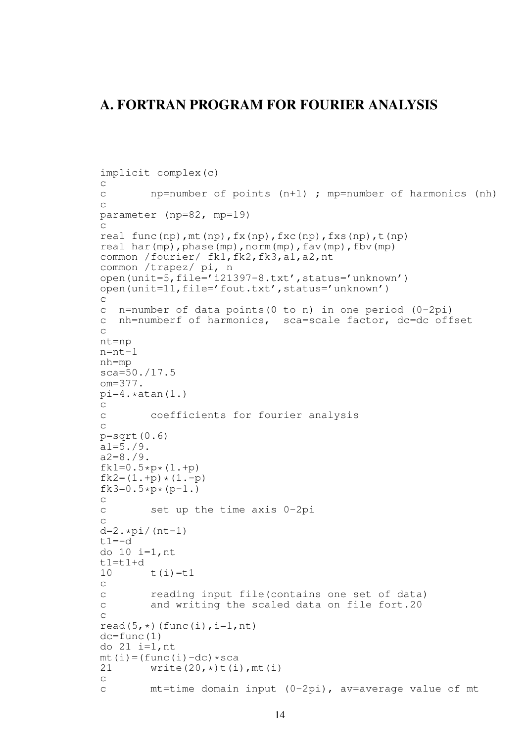## A. FORTRAN PROGRAM FOR FOURIER ANALYSIS

```
implicit complex(c)
\capc np=number of points (n+1) ; mp=number of harmonics (nh)
c
parameter (np=82, mp=19)
c
real func(np), mt(np), fx(np), fxc(np), fxs(np), t(np)real har(mp), phase(mp), norm(mp), fav(mp), fbv(mp)
common /fourier/ fk1, fk2, fk3, a1, a2, nt
common /trapez/ pi, n
open(unit=5,file='i21397-8.txt',status='unknown')
open(unit=11,file='fout.txt',status='unknown')
\capc n=number of data points(0 to n) in one period (0-2pi)
c nh=numberf of harmonics, sca=scale factor, dc=dc offset
c
nt=np
n=nt-1
nh=mp
sca=50./17.5
om=377.
pi=4.\staratan(1.)\mathcal{C}c coefficients for fourier analysis
\overline{C}p = sqrt(0.6)a1=5.79.
a2=8.79.
fk1=0.5*p*(1.+p)fk2=(1.+p)*(1.-p)fk3=0.5*p*(p-1.)\overline{C}c set up the time axis 0-2pi
\capd=2.\star pi/(nt-1)t1=-ddo 10 i=1,nt
t1=t1+dt(i)=t1c
c reading input file(contains one set of data)
c and writing the scaled data on file fort.20
\overline{C}read(5, \star)(func(i), i=1, nt)
dc=func(1)do 21 i=1, ntmt(i)=(func(i)-dc)*sca<br>21 write(20.*)t(i
        write(20,*)t(i),mt(i)\Gammac mt=time domain input (0-2pi), av=average value of mt
```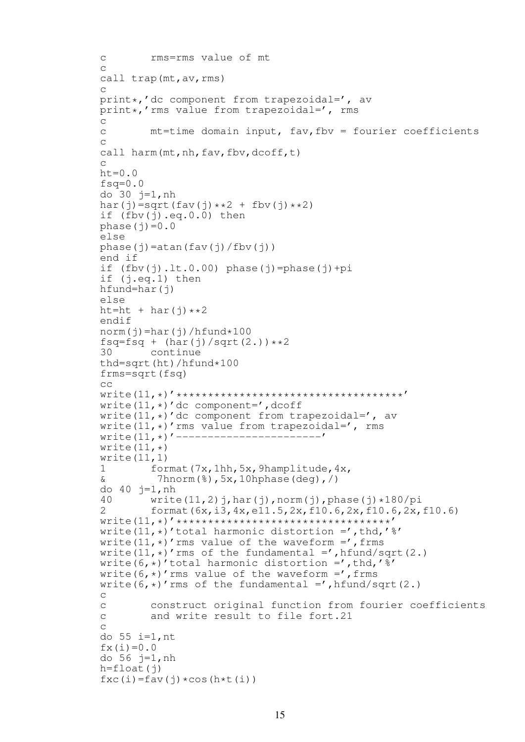```
c rms=rms value of mt
\mathbf Ccall trap(mt,av,rms)
\capprint*,'dc component from trapezoidal=', av
print*,'rms value from trapezoidal=', rms
\overline{C}c mt=time domain input, fav,fbv = fourier coefficients
\overline{C}call harm(mt,nh,fav,fbv,dcoff,t)
\overline{C}ht=0.0fsq=0.0do 30 j=1, nh
har(j)=sqrt(fav(j)**2 + fbv(j)**2)
if (fbv(j).eq.0.0) then
phase(j)=0.0else
phase(j)=atan(fav(j)/fbv(j))
end if
if (fbv(j).lt.0.00) phase(j)=phase(j)+pi
if (j.eq.1) then
hfund=har(j)
else
ht=ht + har(j) **2
endif
norm(j)=har(j)/hfund*100
fsq=fsq + (har(j)/sqrt(2.))**2<br>30 continue
         continue
thd=sqrt(ht)/hfund*100
frms=sqrt(fsq)
cc
write(11,*)'************************************'
write(11,\star)'dc component=', dcoff
write(11,\star)'dc component from trapezoidal=', av
write(11,\star)'rms value from trapezoidal=', rms
write(11, *)'-----------------------------
write(11,*)write(11,1)
1 format(7x,1hh,5x,9hamplitude,4x,
\& 7hnorm(\frac{1}{2}), 5x, 10hphase(deg), /)
do 40 \div 1, nh
40 write(11,2)j,har(j),norm(j),phase(j)*180/pi<br>2 format(6x.i3.4x.e11.5.2x.f10.6.2x.f10.6.2x.
         2 format(6x,i3,4x,e11.5,2x,f10.6,2x,f10.6,2x,f10.6)
write(11,*)'**********************************'
write(11,\star)'total harmonic distortion =',thd,'%'
write(11, \star)'rms value of the waveform =', frms
write(11, \star)'rms of the fundamental =',hfund/sqrt(2.)
write(6, \star)'total harmonic distortion =',thd,'%'
write(6,\star)'rms value of the waveform =', frms
write(6,*)'rms of the fundamental =',hfund/sqrt(2.)
\capc construct original function from fourier coefficients
c and write result to file fort.21
\overline{C}do 55 i=1,nt
f(x(i))=0.0do 56 j=1,nh
h = float(j)fixc(i)=fav(j)*cos(h*t(i))
```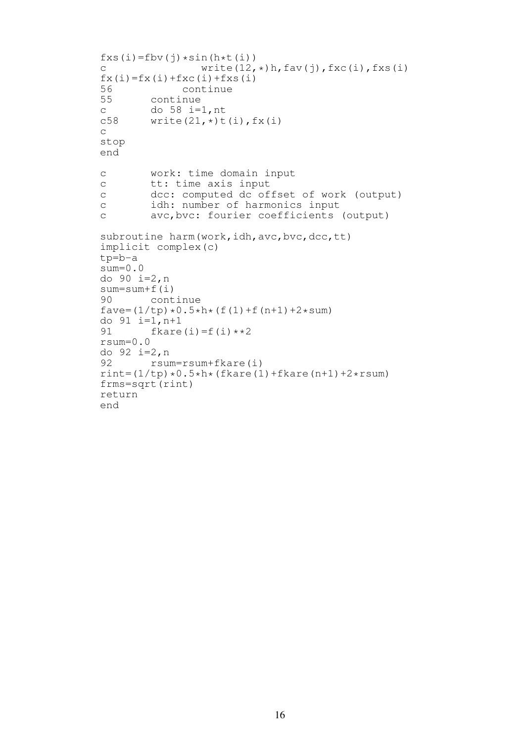```
fxs(i)=fbv(j)*sin(h*t(i))
c write(12,*)h, fav(j), fxc(i), fxs(i)fx(i)=fx(i)+fxc(i)+fxs(i)<br>56 continue
            continue
55 continue
c do 58 i=1,nt
c58 \text{write}(21, \star) \text{ t}(i), \text{fx}(i)c
stop
end
c work: time domain input
c tt: time axis input
c dcc: computed dc offset of work (output)
c idh: number of harmonics input
c avc,bvc: fourier coefficients (output)
subroutine harm(work,idh, avc, bvc, dcc, tt)
implicit complex(c)
tp=b-a
sum=0.0do 90 i=2,n
sum=sum+f(i)
90 continue
fave=(1/tp)*(0.5*h*(f(1)+f(n+1)+2*sum)do 91 i=1, n+191 fkare(i)=f(i) **2rsum=0.0
do 92 i=2,n
92 rsum=rsum+fkare(i)
rint=(1/tp)*(0.5*h*(fkare(1)+fkare(n+1)+2*rsum)frms=sqrt(rint)
return
end
```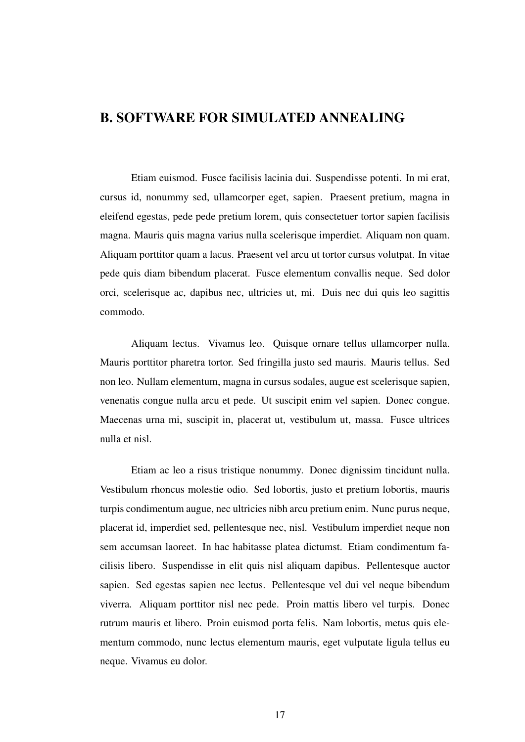### B. SOFTWARE FOR SIMULATED ANNEALING

Etiam euismod. Fusce facilisis lacinia dui. Suspendisse potenti. In mi erat, cursus id, nonummy sed, ullamcorper eget, sapien. Praesent pretium, magna in eleifend egestas, pede pede pretium lorem, quis consectetuer tortor sapien facilisis magna. Mauris quis magna varius nulla scelerisque imperdiet. Aliquam non quam. Aliquam porttitor quam a lacus. Praesent vel arcu ut tortor cursus volutpat. In vitae pede quis diam bibendum placerat. Fusce elementum convallis neque. Sed dolor orci, scelerisque ac, dapibus nec, ultricies ut, mi. Duis nec dui quis leo sagittis commodo.

Aliquam lectus. Vivamus leo. Quisque ornare tellus ullamcorper nulla. Mauris porttitor pharetra tortor. Sed fringilla justo sed mauris. Mauris tellus. Sed non leo. Nullam elementum, magna in cursus sodales, augue est scelerisque sapien, venenatis congue nulla arcu et pede. Ut suscipit enim vel sapien. Donec congue. Maecenas urna mi, suscipit in, placerat ut, vestibulum ut, massa. Fusce ultrices nulla et nisl.

Etiam ac leo a risus tristique nonummy. Donec dignissim tincidunt nulla. Vestibulum rhoncus molestie odio. Sed lobortis, justo et pretium lobortis, mauris turpis condimentum augue, nec ultricies nibh arcu pretium enim. Nunc purus neque, placerat id, imperdiet sed, pellentesque nec, nisl. Vestibulum imperdiet neque non sem accumsan laoreet. In hac habitasse platea dictumst. Etiam condimentum facilisis libero. Suspendisse in elit quis nisl aliquam dapibus. Pellentesque auctor sapien. Sed egestas sapien nec lectus. Pellentesque vel dui vel neque bibendum viverra. Aliquam porttitor nisl nec pede. Proin mattis libero vel turpis. Donec rutrum mauris et libero. Proin euismod porta felis. Nam lobortis, metus quis elementum commodo, nunc lectus elementum mauris, eget vulputate ligula tellus eu neque. Vivamus eu dolor.